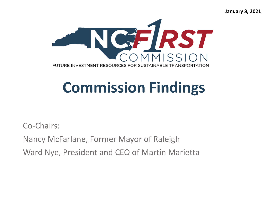**January 8, 2021**



## **Commission Findings**

Co-Chairs: Nancy McFarlane, Former Mayor of Raleigh Ward Nye, President and CEO of Martin Marietta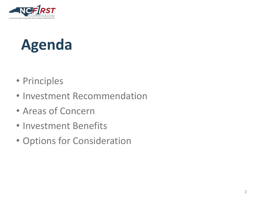

### **Agenda**

- Principles
- Investment Recommendation
- Areas of Concern
- Investment Benefits
- Options for Consideration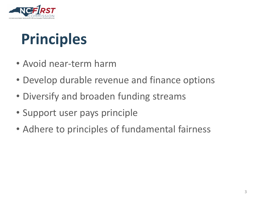

## **Principles**

- Avoid near-term harm
- Develop durable revenue and finance options
- Diversify and broaden funding streams
- Support user pays principle
- Adhere to principles of fundamental fairness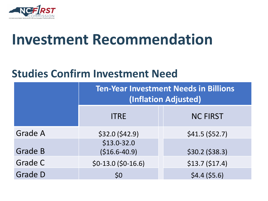

### **Investment Recommendation**

#### **Studies Confirm Investment Need**

|                | <b>Ten-Year Investment Needs in Billions</b><br>(Inflation Adjusted) |                 |
|----------------|----------------------------------------------------------------------|-----------------|
|                | <b>ITRE</b>                                                          | <b>NC FIRST</b> |
| <b>Grade A</b> | \$32.0 (\$42.9)                                                      | \$41.5 (\$52.7) |
| <b>Grade B</b> | $$13.0-32.0$<br>$($16.6-40.9)$                                       | \$30.2 (\$38.3) |
| <b>Grade C</b> | $$0-13.0$ (\$0-16.6)                                                 | \$13.7 (\$17.4) |
| <b>Grade D</b> | \$0                                                                  | \$4.4 (\$5.6)   |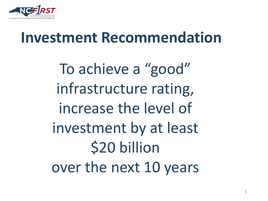

### **Investment Recommendation**

To achieve a "good" infrastructure rating, increase the level of investment by at least \$20 billion over the next 10 years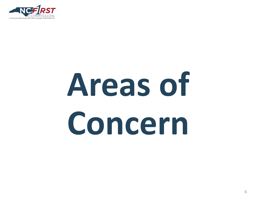

# **Areas of Concern**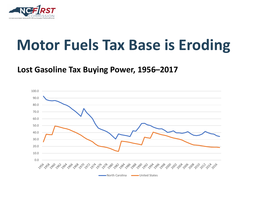

### **Motor Fuels Tax Base is Eroding**

#### **Lost Gasoline Tax Buying Power, 1956–2017**

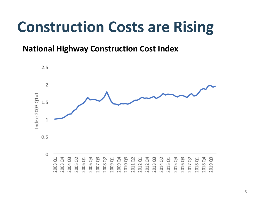### **Construction Costs are Rising**

#### **National Highway Construction Cost Index**

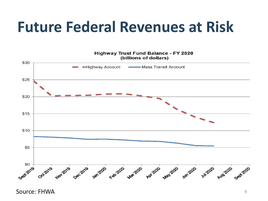### **Future Federal Revenues at Risk**



Source: FHWA 99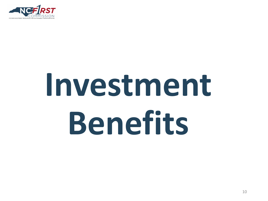

# **Investment Benefits**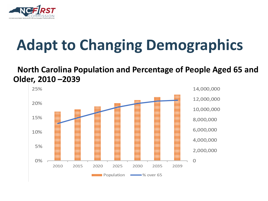

# **Adapt to Changing Demographics**

#### **North Carolina Population and Percentage of People Aged 65 and Older, 2010 –2039**

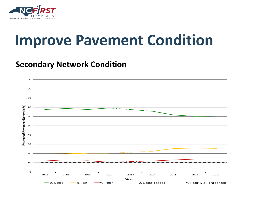

### **Improve Pavement Condition**

#### **Secondary Network Condition**

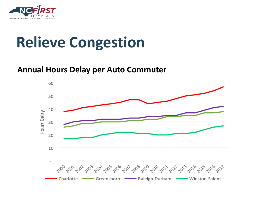

## **Relieve Congestion**

#### **Annual Hours Delay per Auto Commuter**

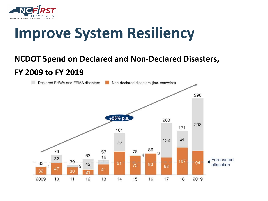

## **Improve System Resiliency**

#### **NCDOT Spend on Declared and Non-Declared Disasters, FY 2009 to FY 2019**

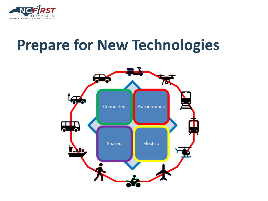

### **Prepare for New Technologies**

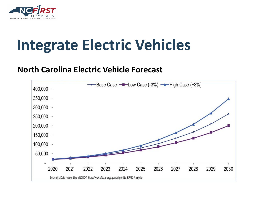

## **Integrate Electric Vehicles**

#### **North Carolina Electric Vehicle Forecast**

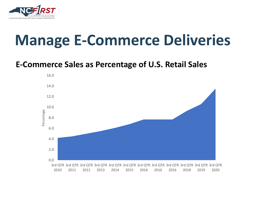

### **Manage E-Commerce Deliveries**

#### **E-Commerce Sales as Percentage of U.S. Retail Sales**

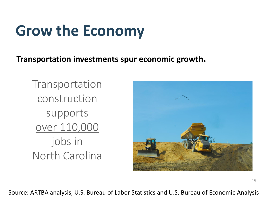## **Grow the Economy**

**Transportation investments spur economic growth.**

Transportation construction supports over 110,000 jobs in North Carolina



Source: ARTBA analysis, U.S. Bureau of Labor Statistics and U.S. Bureau of Economic Analysis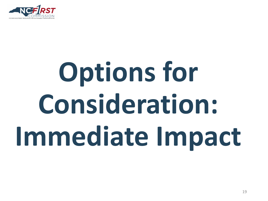

# **Options for Consideration: Immediate Impact**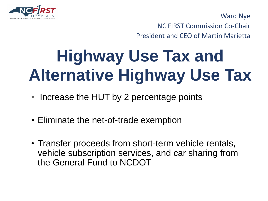

 $\mathbf{r}$   $\mathbf{r}$   $\mathbf{r}$   $\mathbf{r}$   $\mathbf{r}$   $\mathbf{r}$ Ward Nye

NC FIRST Commission Co-Chair

President and CEO of Martin Marietta

# **Highway Use Tax and Alternative Highway Use Tax**

- Increase the HUT by 2 percentage points
- Eliminate the net-of-trade exemption
- Transfer proceeds from short-term vehicle rentals, vehicle subscription services, and car sharing from the General Fund to NCDOT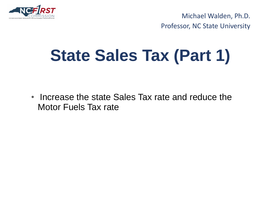

 $\overline{\phantom{a}}$ Michael Walden, Ph.D. Professor, NC State University

# **State Sales Tax (Part 1)**

• Increase the state Sales Tax rate and reduce the Motor Fuels Tax rate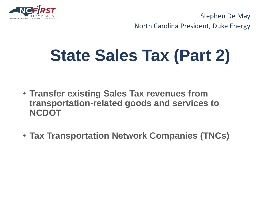

 $\sim$   $\sim$   $\sim$   $\sim$   $\sim$   $\sim$ Stephen De May North Carolina President, Duke Energy

# **State Sales Tax (Part 2)**

- **Transfer existing Sales Tax revenues from transportation-related goods and services to NCDOT**
- **Tax Transportation Network Companies (TNCs)**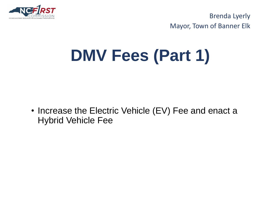

NC FIRST Commission NC FIRST Commission Brenda Lyerly Mayor, Town of Banner Elk

# **DMV Fees (Part 1)**

• Increase the Electric Vehicle (EV) Fee and enact a Hybrid Vehicle Fee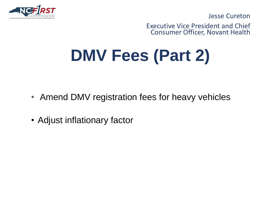

 $N_{\rm eff}$  First commission  $\sim$ Jesse Cureton

Executive Vice President and Chief Consumer Officer, Novant Health

# **DMV Fees (Part 2)**

- Amend DMV registration fees for heavy vehicles
- Adjust inflationary factor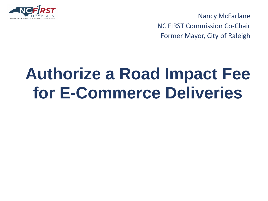

Nancy McFarlane NC FIRST Commission Co-Chair Former Mayor, City of Raleigh

# **Authorize a Road Impact Fee for E-Commerce Deliveries**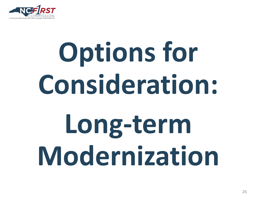

# **Options for Consideration: Long-term Modernization**

26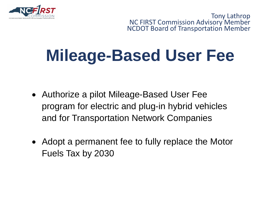

NC FIRST Commission NC FIRST Commission Tony Lathrop NC FIRST Commission Advisory Member NCDOT Board of Transportation Member

# **Mileage-Based User Fee**

- Authorize a pilot Mileage-Based User Fee program for electric and plug-in hybrid vehicles and for Transportation Network Companies
- Adopt a permanent fee to fully replace the Motor Fuels Tax by 2030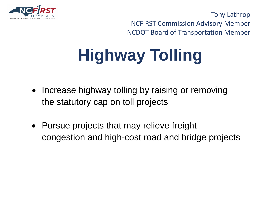

Tony Lathrop NCFIRST Commission Advisory Member NCDOT Board of Transportation Member

# **Highway Tolling**

- Increase highway tolling by raising or removing the statutory cap on toll projects
- Pursue projects that may relieve freight congestion and high-cost road and bridge projects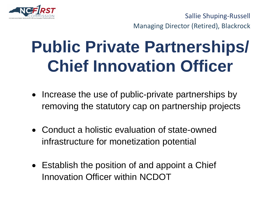

Sallie Shuping-Russell Managing Director (Retired), Blackrock

# **Public Private Partnerships/ Chief Innovation Officer**

- Increase the use of public-private partnerships by removing the statutory cap on partnership projects
- Conduct a holistic evaluation of state-owned infrastructure for monetization potential
- Establish the position of and appoint a Chief Innovation Officer within NCDOT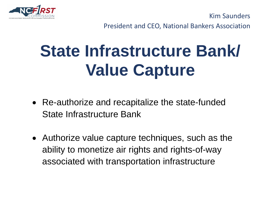

 $\overline{a}$   $\overline{b}$   $\overline{c}$   $\overline{c}$   $\overline{c}$   $\overline{c}$   $\overline{c}$   $\overline{c}$   $\overline{c}$   $\overline{c}$   $\overline{c}$   $\overline{c}$   $\overline{c}$   $\overline{c}$   $\overline{c}$   $\overline{c}$   $\overline{c}$   $\overline{c}$   $\overline{c}$   $\overline{c}$   $\overline{c}$   $\overline{c}$   $\overline{c}$   $\overline{c}$   $\overline{$ Kim Saunders

President and CEO, National Bankers Association

# **State Infrastructure Bank/ Value Capture**

- Re-authorize and recapitalize the state-funded State Infrastructure Bank
- Authorize value capture techniques, such as the ability to monetize air rights and rights-of-way associated with transportation infrastructure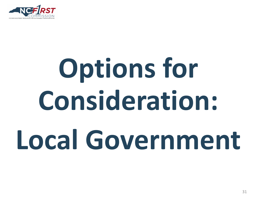

# **Options for Consideration: Local Government**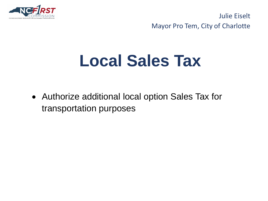

NC FIRST Commission NC FIRST Commission Julie Eiselt Mayor Pro Tem, City of Charlotte

## **Local Sales Tax**

• Authorize additional local option Sales Tax for transportation purposes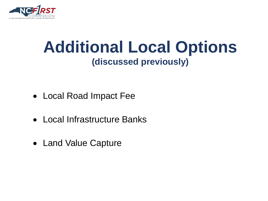

### **Additional Local Options (discussed previously)**

- Local Road Impact Fee
- Local Infrastructure Banks
- Land Value Capture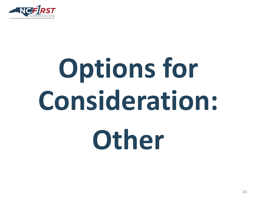

# **Options for Consideration: Other**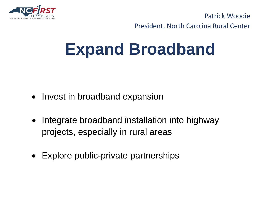

NC FIRST Commission NC FIRST Commission Patrick Woodie President, North Carolina Rural Center

# **Expand Broadband**

- Invest in broadband expansion
- Integrate broadband installation into highway projects, especially in rural areas
- Explore public-private partnerships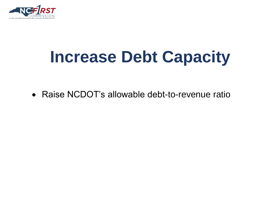

# **Increase Debt Capacity**

• Raise NCDOT's allowable debt-to-revenue ratio